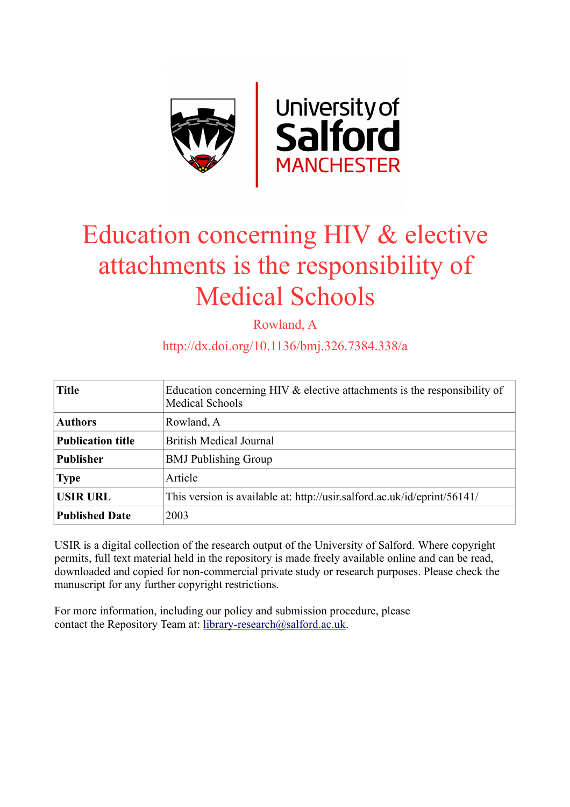

## Education concerning HIV & elective attachments is the responsibility of Medical Schools

Rowland, A

http://dx.doi.org/10.1136/bmj.326.7384.338/a

| <b>Title</b>             | Education concerning HIV $\&$ elective attachments is the responsibility of<br><b>Medical Schools</b> |
|--------------------------|-------------------------------------------------------------------------------------------------------|
| <b>Authors</b>           | Rowland, A                                                                                            |
| <b>Publication title</b> | <b>British Medical Journal</b>                                                                        |
| <b>Publisher</b>         | <b>BMJ</b> Publishing Group                                                                           |
| <b>Type</b>              | Article                                                                                               |
| <b>USIR URL</b>          | This version is available at: http://usir.salford.ac.uk/id/eprint/56141/                              |
| <b>Published Date</b>    | 2003                                                                                                  |

USIR is a digital collection of the research output of the University of Salford. Where copyright permits, full text material held in the repository is made freely available online and can be read, downloaded and copied for non-commercial private study or research purposes. Please check the manuscript for any further copyright restrictions.

For more information, including our policy and submission procedure, please contact the Repository Team at: [library-research@salford.ac.uk.](mailto:library-research@salford.ac.uk)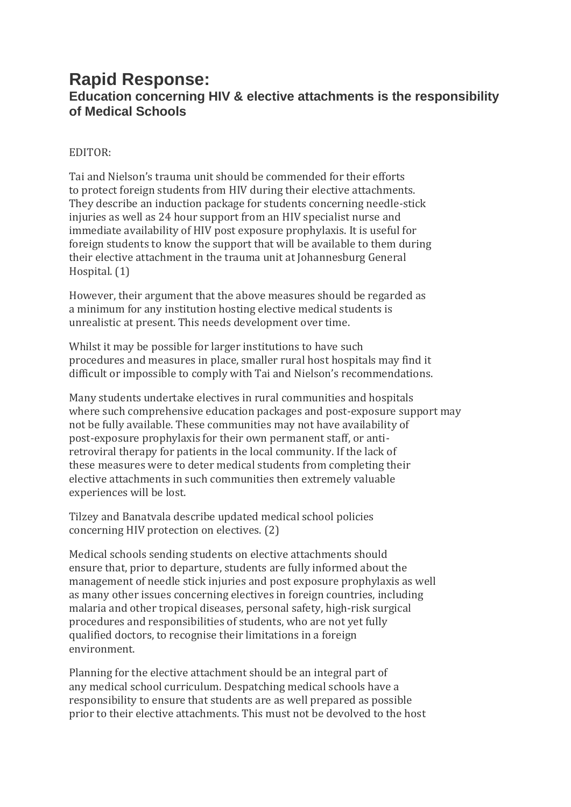## **Rapid Response: Education concerning HIV & elective attachments is the responsibility of Medical Schools**

## EDITOR:

Tai and Nielson's trauma unit should be commended for their efforts to protect foreign students from HIV during their elective attachments. They describe an induction package for students concerning needle-stick injuries as well as 24 hour support from an HIV specialist nurse and immediate availability of HIV post exposure prophylaxis. It is useful for foreign students to know the support that will be available to them during their elective attachment in the trauma unit at Johannesburg General Hospital. (1)

However, their argument that the above measures should be regarded as a minimum for any institution hosting elective medical students is unrealistic at present. This needs development over time.

Whilst it may be possible for larger institutions to have such procedures and measures in place, smaller rural host hospitals may find it difficult or impossible to comply with Tai and Nielson's recommendations.

Many students undertake electives in rural communities and hospitals where such comprehensive education packages and post-exposure support may not be fully available. These communities may not have availability of post-exposure prophylaxis for their own permanent staff, or antiretroviral therapy for patients in the local community. If the lack of these measures were to deter medical students from completing their elective attachments in such communities then extremely valuable experiences will be lost.

Tilzey and Banatvala describe updated medical school policies concerning HIV protection on electives. (2)

Medical schools sending students on elective attachments should ensure that, prior to departure, students are fully informed about the management of needle stick injuries and post exposure prophylaxis as well as many other issues concerning electives in foreign countries, including malaria and other tropical diseases, personal safety, high-risk surgical procedures and responsibilities of students, who are not yet fully qualified doctors, to recognise their limitations in a foreign environment.

Planning for the elective attachment should be an integral part of any medical school curriculum. Despatching medical schools have a responsibility to ensure that students are as well prepared as possible prior to their elective attachments. This must not be devolved to the host